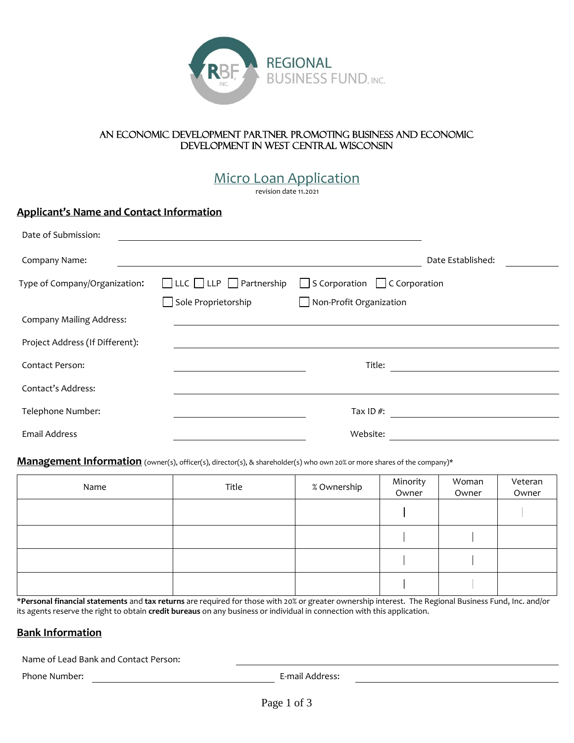

#### An economic development partner promoting business and economic development in west central Wisconsin

Micro Loan Application

revision date 11.2021

## **Applicant's Name and Contact Information**

| Date of Submission:             |                                          |                                           |                   |
|---------------------------------|------------------------------------------|-------------------------------------------|-------------------|
| Company Name:                   |                                          |                                           | Date Established: |
| Type of Company/Organization:   | $\Box$ LLC $\Box$ LLP $\Box$ Partnership | $\Box$ S Corporation $\Box$ C Corporation |                   |
|                                 | Sole Proprietorship                      | $\Box$ Non-Profit Organization            |                   |
| <b>Company Mailing Address:</b> |                                          |                                           |                   |
| Project Address (If Different): |                                          |                                           |                   |
| <b>Contact Person:</b>          |                                          | Title:                                    |                   |
| Contact's Address:              |                                          |                                           |                   |
| Telephone Number:               |                                          | Tax ID $#$ :                              |                   |
| Email Address                   |                                          | Website:                                  |                   |

#### Management Information (owner(s), officer(s), director(s), & shareholder(s) who own 20% or more shares of the company)\*

| Name | Title | % Ownership | Minority<br>Owner | Woman<br>Owner | Veteran<br>Owner |
|------|-------|-------------|-------------------|----------------|------------------|
|      |       |             |                   |                |                  |
|      |       |             |                   |                |                  |
|      |       |             |                   |                |                  |
|      |       |             |                   |                |                  |

\***Personal financial statements** and **tax returns** are required for those with 20% or greater ownership interest. The Regional Business Fund, Inc. and/or its agents reserve the right to obtain **credit bureaus** on any business or individual in connection with this application.

## **Bank Information**

Name of Lead Bank and Contact Person:

Phone Number: The Community of the E-mail Address: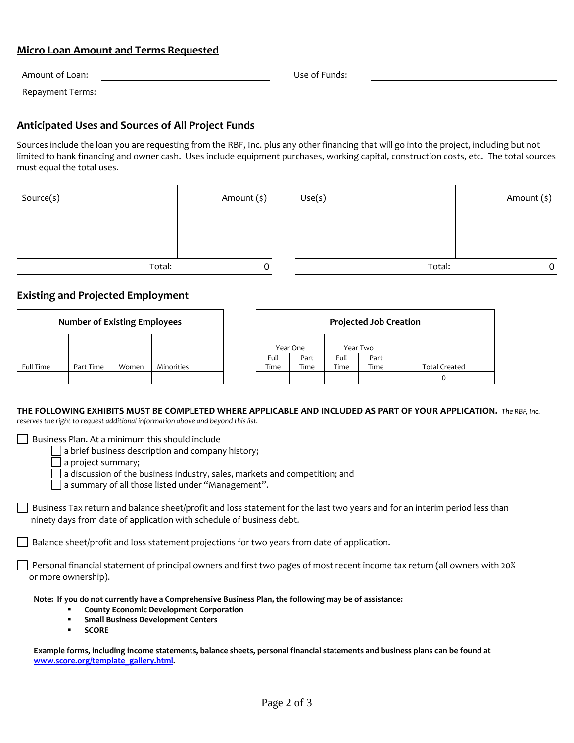## **Micro Loan Amount and Terms Requested**

| Amount of Loan:  | Use of Funds: |  |
|------------------|---------------|--|
| Repayment Terms: |               |  |

## **Anticipated Uses and Sources of All Project Funds**

Sources include the loan you are requesting from the RBF, Inc. plus any other financing that will go into the project, including but not limited to bank financing and owner cash. Uses include equipment purchases, working capital, construction costs, etc. The total sources must equal the total uses.

| Source(s) | Amount (\$) |
|-----------|-------------|
|           |             |
|           |             |
|           |             |
| Total:    |             |

| Source(s) | Amount (\$) | Use(s) | Amount (\$) |
|-----------|-------------|--------|-------------|
|           |             |        |             |
|           |             |        |             |
|           |             |        |             |
| Total:    |             | Total: |             |

## **Existing and Projected Employment**

| <b>Number of Existing Employees</b> |           | <b>Projected Job Creation</b> |            |      |          |      |          |                      |
|-------------------------------------|-----------|-------------------------------|------------|------|----------|------|----------|----------------------|
|                                     |           |                               |            |      | Year One |      | Year Two |                      |
|                                     |           |                               |            | Full | Part     | Full | Part     |                      |
| <b>Full Time</b>                    | Part Time | Women                         | Minorities | Time | Time     | Time | Time     | <b>Total Created</b> |
|                                     |           |                               |            |      |          |      |          | 0                    |

## **THE FOLLOWING EXHIBITS MUST BE COMPLETED WHERE APPLICABLE AND INCLUDED AS PART OF YOUR APPLICATION.** *The RBF, Inc.*

*reserves the right to request additional information above and beyond this list.* 

 $\Box$  Business Plan. At a minimum this should include

 $\lceil$  a brief business description and company history;

a project summary;

a discussion of the business industry, sales, markets and competition; and

a summary of all those listed under "Management".

 $\Box$  Business Tax return and balance sheet/profit and loss statement for the last two years and for an interim period less than ninety days from date of application with schedule of business debt.

Balance sheet/profit and loss statement projections for two years from date of application.

 Personal financial statement of principal owners and first two pages of most recent income tax return (all owners with 20% or more ownership).

**Note: If you do not currently have a Comprehensive Business Plan, the following may be of assistance:** 

- **County Economic Development Corporation**
- **Small Business Development Centers**
- **SCORE**

**Example forms, including income statements, balance sheets, personal financial statements and business plans can be found at [www.score.org/template\\_gallery.html.](http://www.score.org/template_gallery.html)**